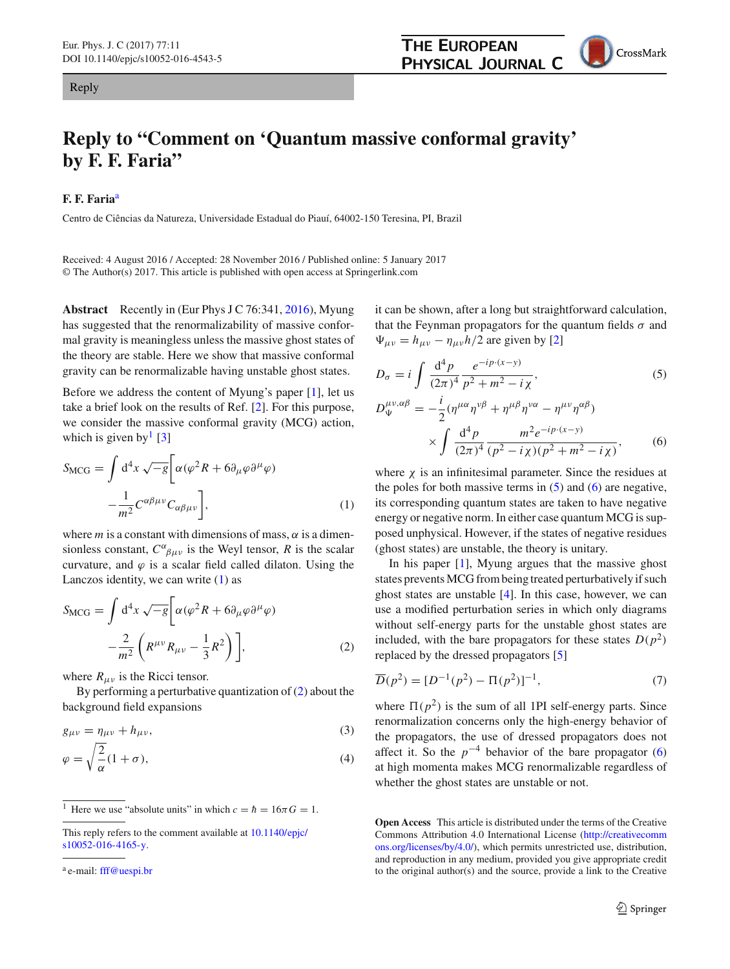## Reply

## **Reply to "Comment on 'Quantum massive conformal gravity' by F. F. Faria"**

## **F. F. Faria**<sup>a</sup>

Centro de Ciências da Natureza, Universidade Estadual do Piauí, 64002-150 Teresina, PI, Brazil

Received: 4 August 2016 / Accepted: 28 November 2016 / Published online: 5 January 2017 © The Author(s) 2017. This article is published with open access at Springerlink.com

**Abstract** Recently in (Eur Phys J C 76:341, [2016\)](#page-1-0), Myung has suggested that the renormalizability of massive conformal gravity is meaningless unless the massive ghost states of the theory are stable. Here we show that massive conformal gravity can be renormalizable having unstable ghost states.

Before we address the content of Myung's paper [\[1\]](#page-1-0), let us take a brief look on the results of Ref. [\[2](#page-1-1)]. For this purpose, we consider the massive conformal gravity (MCG) action, which is given by  $\lceil 3 \rceil$ 

<span id="page-0-0"></span>
$$
S_{\rm MCG} = \int d^4x \sqrt{-g} \bigg[ \alpha (\varphi^2 R + 6 \partial_\mu \varphi \partial^\mu \varphi) - \frac{1}{m^2} C^{\alpha \beta \mu \nu} C_{\alpha \beta \mu \nu} \bigg],
$$
 (1)

where  $m$  is a constant with dimensions of mass,  $\alpha$  is a dimensionless constant,  $C^{\alpha}{}_{\beta\mu\nu}$  is the Weyl tensor, *R* is the scalar curvature, and  $\varphi$  is a scalar field called dilaton. Using the Lanczos identity, we can write  $(1)$  as

<span id="page-0-1"></span>
$$
S_{\rm MCG} = \int d^4x \sqrt{-g} \left[ \alpha (\varphi^2 R + 6 \partial_\mu \varphi \partial^\mu \varphi) - \frac{2}{m^2} \left( R^{\mu \nu} R_{\mu \nu} - \frac{1}{3} R^2 \right) \right],
$$
 (2)

where  $R_{\mu\nu}$  is the Ricci tensor.

By performing a perturbative quantization of [\(2\)](#page-0-1) about the background field expansions

$$
g_{\mu\nu} = \eta_{\mu\nu} + h_{\mu\nu},
$$
  
\n
$$
\varphi = \sqrt{\frac{2}{\alpha}} (1 + \sigma),
$$
\n(3)

it can be shown, after a long but straightforward calculation, that the Feynman propagators for the quantum fields  $\sigma$  and  $\Psi_{\mu\nu} = h_{\mu\nu} - \eta_{\mu\nu}h/2$  are given by [\[2\]](#page-1-1)

<span id="page-0-3"></span><span id="page-0-2"></span>
$$
D_{\sigma} = i \int \frac{d^4 p}{(2\pi)^4} \frac{e^{-ip \cdot (x-y)}}{p^2 + m^2 - i \chi},
$$
(5)  

$$
D_{\Psi}^{\mu\nu,\alpha\beta} = -\frac{i}{2} (\eta^{\mu\alpha} \eta^{\nu\beta} + \eta^{\mu\beta} \eta^{\nu\alpha} - \eta^{\mu\nu} \eta^{\alpha\beta})
$$

$$
\times \int \frac{d^4 p}{(2\pi)^4} \frac{m^2 e^{-ip \cdot (x-y)}}{(p^2 - i \chi)(p^2 + m^2 - i \chi)},
$$
(6)

where  $\chi$  is an infinitesimal parameter. Since the residues at the poles for both massive terms in  $(5)$  and  $(6)$  are negative, its corresponding quantum states are taken to have negative energy or negative norm. In either case quantum MCG is supposed unphysical. However, if the states of negative residues (ghost states) are unstable, the theory is unitary.

In his paper [\[1\]](#page-1-0), Myung argues that the massive ghost states prevents MCG from being treated perturbatively if such ghost states are unstable [\[4](#page-1-3)]. In this case, however, we can use a modified perturbation series in which only diagrams without self-energy parts for the unstable ghost states are included, with the bare propagators for these states  $D(p^2)$ replaced by the dressed propagators [\[5\]](#page-1-4)

$$
\overline{D}(p^2) = [D^{-1}(p^2) - \Pi(p^2)]^{-1},\tag{7}
$$

where  $\Pi(p^2)$  is the sum of all 1PI self-energy parts. Since renormalization concerns only the high-energy behavior of the propagators, the use of dressed propagators does not affect it. So the  $p^{-4}$  behavior of the bare propagator [\(6\)](#page-0-3) at high momenta makes MCG renormalizable regardless of whether the ghost states are unstable or not.

**Open Access** This article is distributed under the terms of the Creative Commons Attribution 4.0 International License [\(http://creativecomm](http://creativecommons.org/licenses/by/4.0/) [ons.org/licenses/by/4.0/\)](http://creativecommons.org/licenses/by/4.0/), which permits unrestricted use, distribution, and reproduction in any medium, provided you give appropriate credit to the original author(s) and the source, provide a link to the Creative

CrossMark

Here we use "absolute units" in which  $c = \hbar = 16\pi G = 1$ .

This reply refers to the comment available at [10.1140/epjc/](http://dx.doi.org/10.1140/epjc/s10052-016-4165-y) [s10052-016-4165-y.](http://dx.doi.org/10.1140/epjc/s10052-016-4165-y)

<sup>&</sup>lt;sup>a</sup> e-mail: [fff@uespi.br](mailto:fff@uespi.br)